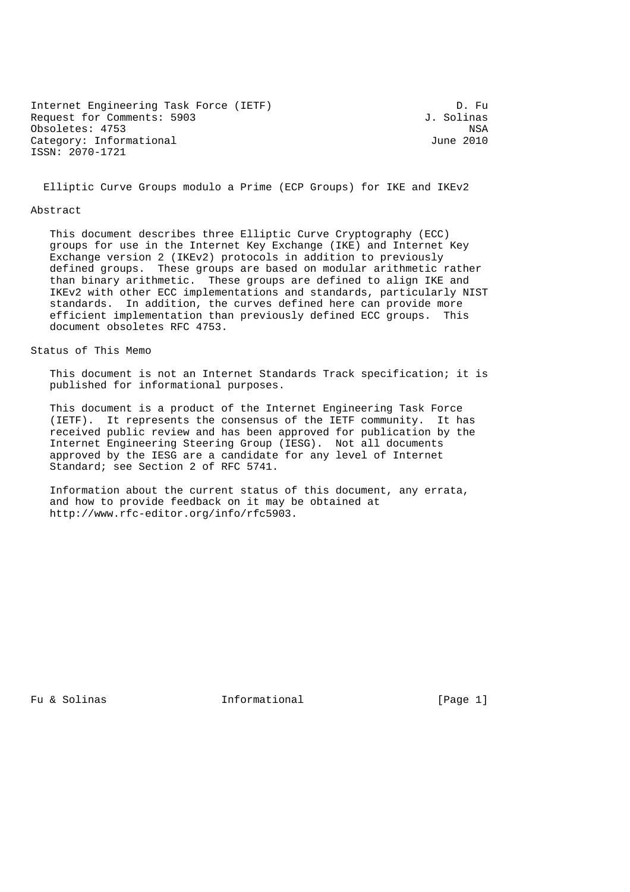Internet Engineering Task Force (IETF) D. Fu Request for Comments: 5903 J. Solinas Obsoletes: 4753 NSA<br>Category: Informational Category: Informational Category: Informational ISSN: 2070-1721

Elliptic Curve Groups modulo a Prime (ECP Groups) for IKE and IKEv2

## Abstract

 This document describes three Elliptic Curve Cryptography (ECC) groups for use in the Internet Key Exchange (IKE) and Internet Key Exchange version 2 (IKEv2) protocols in addition to previously defined groups. These groups are based on modular arithmetic rather than binary arithmetic. These groups are defined to align IKE and IKEv2 with other ECC implementations and standards, particularly NIST standards. In addition, the curves defined here can provide more efficient implementation than previously defined ECC groups. This document obsoletes RFC 4753.

# Status of This Memo

 This document is not an Internet Standards Track specification; it is published for informational purposes.

 This document is a product of the Internet Engineering Task Force (IETF). It represents the consensus of the IETF community. It has received public review and has been approved for publication by the Internet Engineering Steering Group (IESG). Not all documents approved by the IESG are a candidate for any level of Internet Standard; see Section 2 of RFC 5741.

 Information about the current status of this document, any errata, and how to provide feedback on it may be obtained at http://www.rfc-editor.org/info/rfc5903.

Fu & Solinas Thermational Theorem is a set of  $\mathbb{P}$  and  $\mathbb{P}$  [Page 1]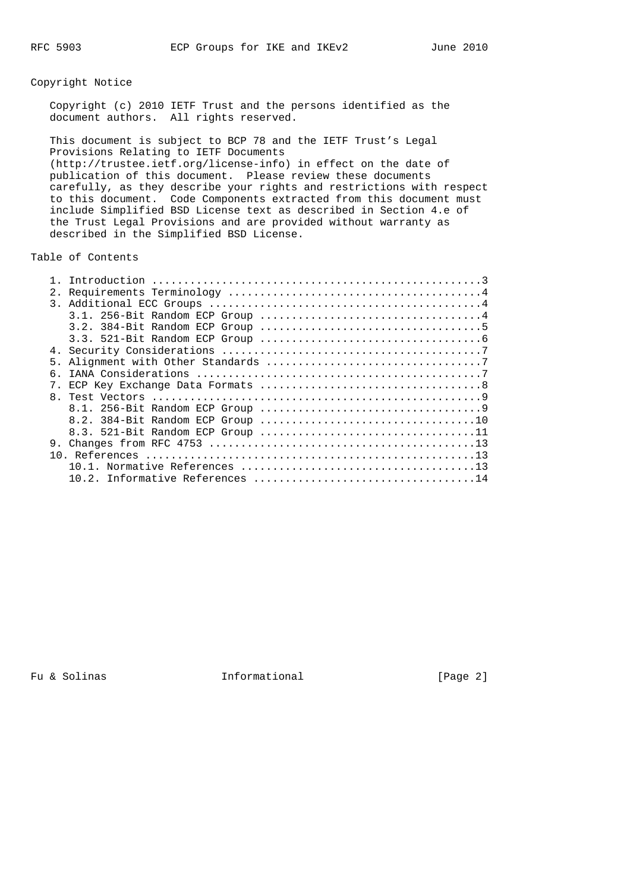# Copyright Notice

 Copyright (c) 2010 IETF Trust and the persons identified as the document authors. All rights reserved.

 This document is subject to BCP 78 and the IETF Trust's Legal Provisions Relating to IETF Documents (http://trustee.ietf.org/license-info) in effect on the date of publication of this document. Please review these documents carefully, as they describe your rights and restrictions with respect to this document. Code Components extracted from this document must include Simplified BSD License text as described in Section 4.e of the Trust Legal Provisions and are provided without warranty as described in the Simplified BSD License.

Table of Contents

| 2. |      |  |  |  |
|----|------|--|--|--|
|    |      |  |  |  |
|    |      |  |  |  |
|    |      |  |  |  |
|    |      |  |  |  |
|    |      |  |  |  |
|    |      |  |  |  |
| б. |      |  |  |  |
|    |      |  |  |  |
|    |      |  |  |  |
|    |      |  |  |  |
|    |      |  |  |  |
|    |      |  |  |  |
| 9. |      |  |  |  |
|    |      |  |  |  |
|    | 10 1 |  |  |  |
|    |      |  |  |  |

Fu & Solinas Theormational Fu & Solinas (Page 2)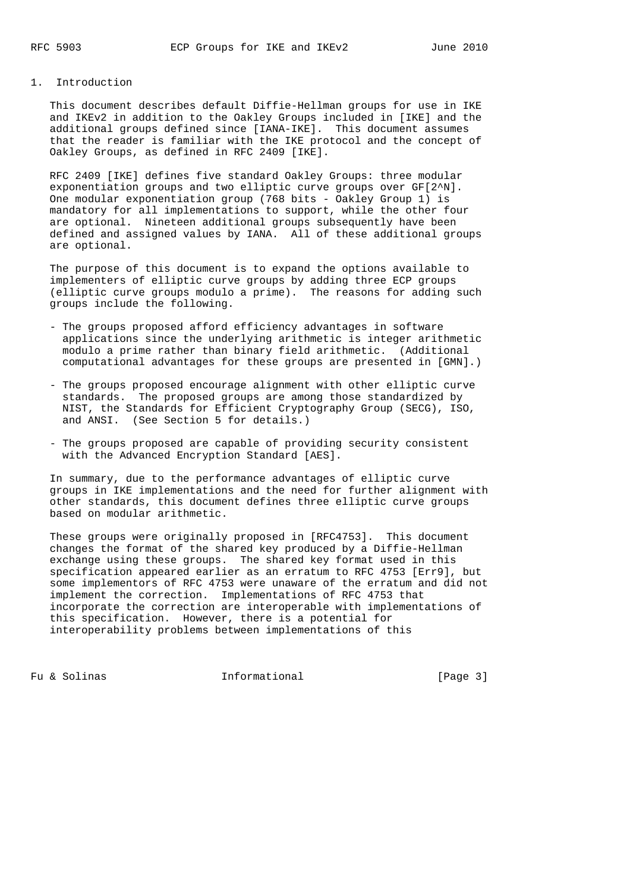# 1. Introduction

 This document describes default Diffie-Hellman groups for use in IKE and IKEv2 in addition to the Oakley Groups included in [IKE] and the additional groups defined since [IANA-IKE]. This document assumes that the reader is familiar with the IKE protocol and the concept of Oakley Groups, as defined in RFC 2409 [IKE].

 RFC 2409 [IKE] defines five standard Oakley Groups: three modular exponentiation groups and two elliptic curve groups over GF[2^N]. One modular exponentiation group (768 bits - Oakley Group 1) is mandatory for all implementations to support, while the other four are optional. Nineteen additional groups subsequently have been defined and assigned values by IANA. All of these additional groups are optional.

 The purpose of this document is to expand the options available to implementers of elliptic curve groups by adding three ECP groups (elliptic curve groups modulo a prime). The reasons for adding such groups include the following.

- The groups proposed afford efficiency advantages in software applications since the underlying arithmetic is integer arithmetic modulo a prime rather than binary field arithmetic. (Additional computational advantages for these groups are presented in [GMN].)
- The groups proposed encourage alignment with other elliptic curve standards. The proposed groups are among those standardized by NIST, the Standards for Efficient Cryptography Group (SECG), ISO, and ANSI. (See Section 5 for details.)
- The groups proposed are capable of providing security consistent with the Advanced Encryption Standard [AES].

 In summary, due to the performance advantages of elliptic curve groups in IKE implementations and the need for further alignment with other standards, this document defines three elliptic curve groups based on modular arithmetic.

 These groups were originally proposed in [RFC4753]. This document changes the format of the shared key produced by a Diffie-Hellman exchange using these groups. The shared key format used in this specification appeared earlier as an erratum to RFC 4753 [Err9], but some implementors of RFC 4753 were unaware of the erratum and did not implement the correction. Implementations of RFC 4753 that incorporate the correction are interoperable with implementations of this specification. However, there is a potential for interoperability problems between implementations of this

Fu & Solinas Thermational Theorem (Page 3)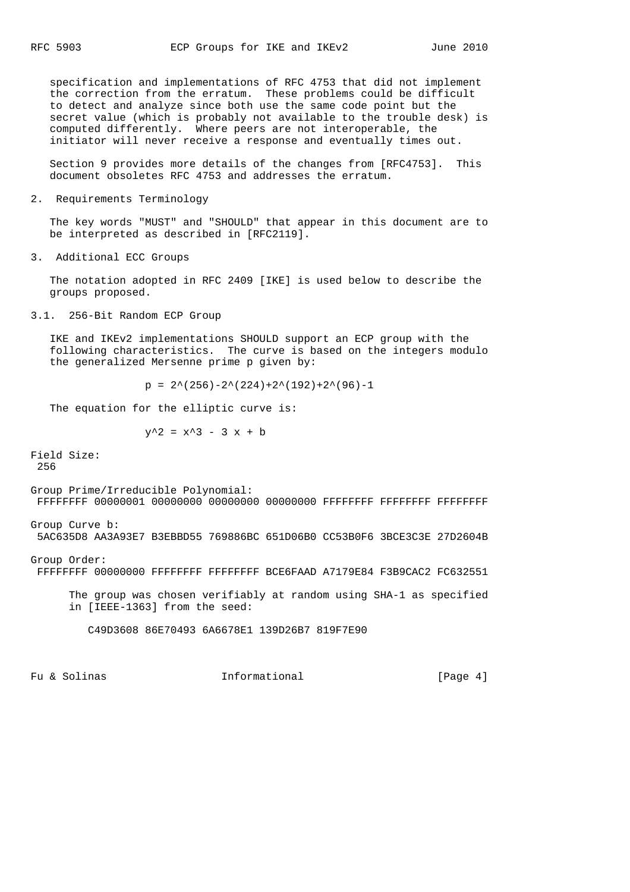specification and implementations of RFC 4753 that did not implement the correction from the erratum. These problems could be difficult to detect and analyze since both use the same code point but the secret value (which is probably not available to the trouble desk) is computed differently. Where peers are not interoperable, the initiator will never receive a response and eventually times out.

 Section 9 provides more details of the changes from [RFC4753]. This document obsoletes RFC 4753 and addresses the erratum.

2. Requirements Terminology

 The key words "MUST" and "SHOULD" that appear in this document are to be interpreted as described in [RFC2119].

3. Additional ECC Groups

 The notation adopted in RFC 2409 [IKE] is used below to describe the groups proposed.

3.1. 256-Bit Random ECP Group

 IKE and IKEv2 implementations SHOULD support an ECP group with the following characteristics. The curve is based on the integers modulo the generalized Mersenne prime p given by:

 $p = 2^{\wedge}(256) - 2^{\wedge}(224) + 2^{\wedge}(192) + 2^{\wedge}(96) - 1$ 

The equation for the elliptic curve is:

 $y^2 = x^3 - 3x + b$ 

Field Size: 256

Group Prime/Irreducible Polynomial: FFFFFFFF 00000001 00000000 00000000 00000000 FFFFFFFF FFFFFFFF FFFFFFFF

Group Curve b: 5AC635D8 AA3A93E7 B3EBBD55 769886BC 651D06B0 CC53B0F6 3BCE3C3E 27D2604B

Group Order: FFFFFFFF 00000000 FFFFFFFF FFFFFFFF BCE6FAAD A7179E84 F3B9CAC2 FC632551

 The group was chosen verifiably at random using SHA-1 as specified in [IEEE-1363] from the seed:

C49D3608 86E70493 6A6678E1 139D26B7 819F7E90

Fu & Solinas Thermational Theorem (Page 4)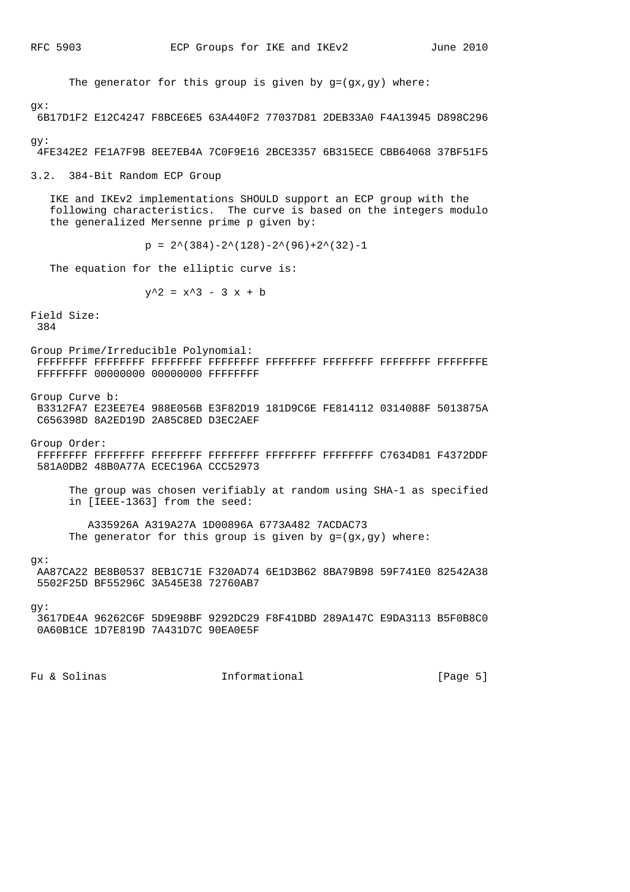The generator for this group is given by  $g=(gx,gy)$  where:

### gx:

6B17D1F2 E12C4247 F8BCE6E5 63A440F2 77037D81 2DEB33A0 F4A13945 D898C296

 $\alpha y$ :

4FE342E2 FE1A7F9B 8EE7EB4A 7C0F9E16 2BCE3357 6B315ECE CBB64068 37BF51F5

3.2. 384-Bit Random ECP Group

 IKE and IKEv2 implementations SHOULD support an ECP group with the following characteristics. The curve is based on the integers modulo the generalized Mersenne prime p given by:

 $p = 2^{\wedge} (384) - 2^{\wedge} (128) - 2^{\wedge} (96) + 2^{\wedge} (32) - 1$ 

The equation for the elliptic curve is:

```
y^2 = x^3 - 3x + b
```
Field Size: 384

Group Prime/Irreducible Polynomial: FFFFFFFF FFFFFFFF FFFFFFFF FFFFFFFF FFFFFFFF FFFFFFFF FFFFFFFF FFFFFFFE FFFFFFFF 00000000 00000000 FFFFFFFF

Group Curve b:

 B3312FA7 E23EE7E4 988E056B E3F82D19 181D9C6E FE814112 0314088F 5013875A C656398D 8A2ED19D 2A85C8ED D3EC2AEF

Group Order:

- FFFFFFFF FFFFFFFF FFFFFFFF FFFFFFFF FFFFFFFF FFFFFFFF C7634D81 F4372DDF 581A0DB2 48B0A77A ECEC196A CCC52973
	- The group was chosen verifiably at random using SHA-1 as specified in [IEEE-1363] from the seed:

 A335926A A319A27A 1D00896A 6773A482 7ACDAC73 The generator for this group is given by  $g=(gx,gy)$  where:

### gx:

```
 AA87CA22 BE8B0537 8EB1C71E F320AD74 6E1D3B62 8BA79B98 59F741E0 82542A38
5502F25D BF55296C 3A545E38 72760AB7
```
gy:

```
 3617DE4A 96262C6F 5D9E98BF 9292DC29 F8F41DBD 289A147C E9DA3113 B5F0B8C0
0A60B1CE 1D7E819D 7A431D7C 90EA0E5F
```
Fu & Solinas Theormational Theorman (Page 5)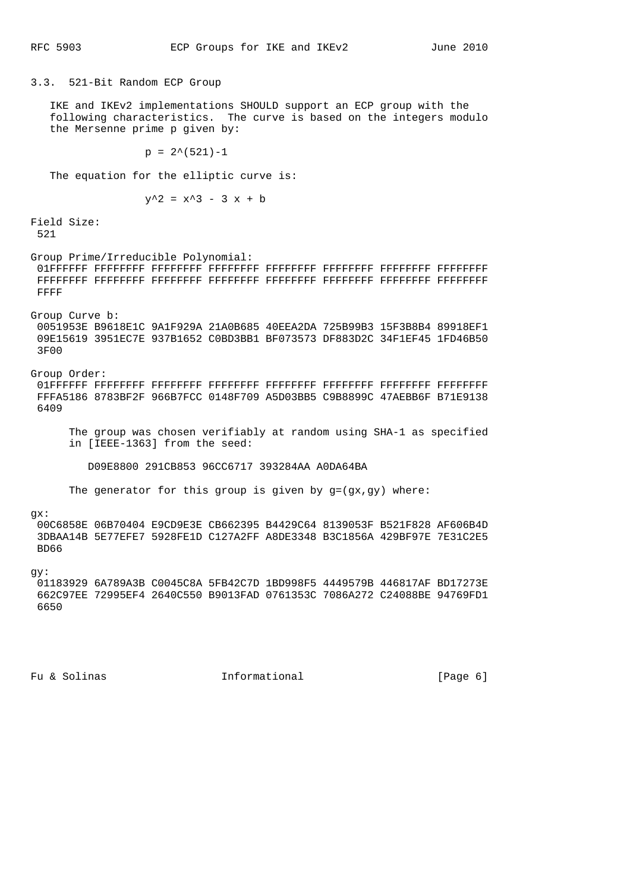3.3. 521-Bit Random ECP Group

 IKE and IKEv2 implementations SHOULD support an ECP group with the following characteristics. The curve is based on the integers modulo the Mersenne prime p given by:

 $p = 2^*(521)-1$ 

The equation for the elliptic curve is:

 $y^2 = x^3 - 3x + b$ 

Field Size: 521

Group Prime/Irreducible Polynomial: 01FFFFFF FFFFFFFF FFFFFFFF FFFFFFFF FFFFFFFF FFFFFFFF FFFFFFFF FFFFFFFF FFFFFFFF FFFFFFFF FFFFFFFF FFFFFFFF FFFFFFFF FFFFFFFF FFFFFFFF FFFFFFFF FFFF

Group Curve b:

 0051953E B9618E1C 9A1F929A 21A0B685 40EEA2DA 725B99B3 15F3B8B4 89918EF1 09E15619 3951EC7E 937B1652 C0BD3BB1 BF073573 DF883D2C 34F1EF45 1FD46B50 3F00

Group Order: 01FFFFFF FFFFFFFF FFFFFFFF FFFFFFFF FFFFFFFF FFFFFFFF FFFFFFFF FFFFFFFF FFFA5186 8783BF2F 966B7FCC 0148F709 A5D03BB5 C9B8899C 47AEBB6F B71E9138 6409

 The group was chosen verifiably at random using SHA-1 as specified in [IEEE-1363] from the seed:

D09E8800 291CB853 96CC6717 393284AA A0DA64BA

The generator for this group is given by g=(gx,gy) where:

gx:

 00C6858E 06B70404 E9CD9E3E CB662395 B4429C64 8139053F B521F828 AF606B4D 3DBAA14B 5E77EFE7 5928FE1D C127A2FF A8DE3348 B3C1856A 429BF97E 7E31C2E5 BD66

gy:

 01183929 6A789A3B C0045C8A 5FB42C7D 1BD998F5 4449579B 446817AF BD17273E 662C97EE 72995EF4 2640C550 B9013FAD 0761353C 7086A272 C24088BE 94769FD1 6650

Fu & Solinas Thermational Theorem (Page 6)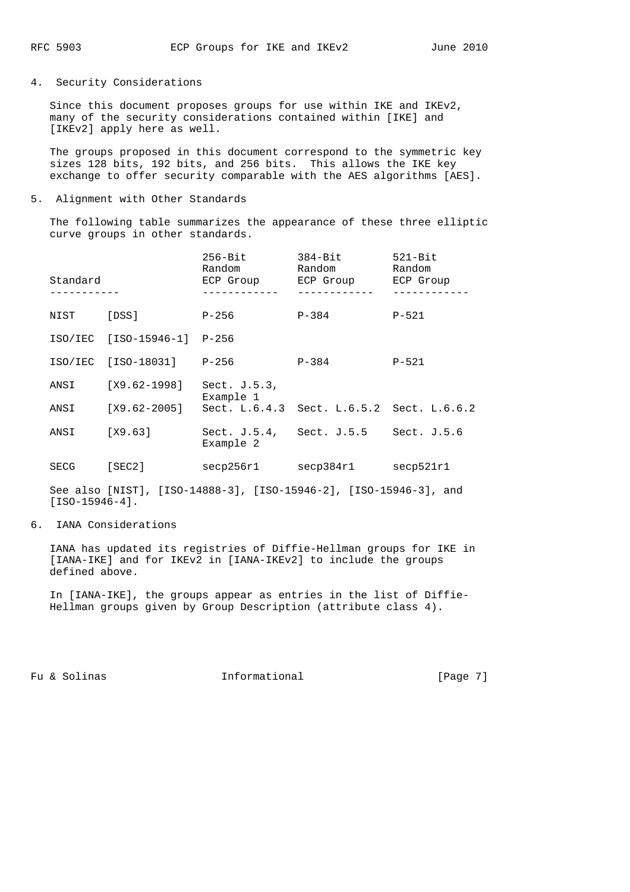4. Security Considerations

 Since this document proposes groups for use within IKE and IKEv2, many of the security considerations contained within [IKE] and [IKEv2] apply here as well.

 The groups proposed in this document correspond to the symmetric key sizes 128 bits, 192 bits, and 256 bits. This allows the IKE key exchange to offer security comparable with the AES algorithms [AES].

5. Alignment with Other Standards

 The following table summarizes the appearance of these three elliptic curve groups in other standards.

| Standard |                  | $256 - Bit$<br>Random<br>ECP Group | $384 - Bit$<br>Random<br>ECP Group        | $521 - Bit$<br>Random<br>ECP Group |
|----------|------------------|------------------------------------|-------------------------------------------|------------------------------------|
| NIST     | [DSS]            | P-256                              | $P - 384$                                 | $P - 521$                          |
| ISO/IEC  | [ISO-15946-1]    | $P - 256$                          |                                           |                                    |
| ISO/IEC  | [ISO-18031]      | P-256                              | $P - 384$                                 | $P - 521$                          |
| ANSI     | $[X9.62 - 1998]$ | Sect. $J.5.3$ ,<br>Example 1       |                                           |                                    |
| ANSI     | [X9.62-2005]     |                                    | Sect. L.6.4.3 Sect. L.6.5.2 Sect. L.6.6.2 |                                    |
| ANSI     | [X9.63]          | Sect. $J.5.4$ ,<br>Example 2       | Sect. J.5.5                               | Sect. $J.5.6$                      |
| SECG     | [SEC2]           | secp256r1                          | secp384r1                                 | secp521r1                          |

 See also [NIST], [ISO-14888-3], [ISO-15946-2], [ISO-15946-3], and [ISO-15946-4].

6. IANA Considerations

 IANA has updated its registries of Diffie-Hellman groups for IKE in [IANA-IKE] and for IKEv2 in [IANA-IKEv2] to include the groups defined above.

 In [IANA-IKE], the groups appear as entries in the list of Diffie- Hellman groups given by Group Description (attribute class 4).

Fu & Solinas Theormational Theorman (Page 7)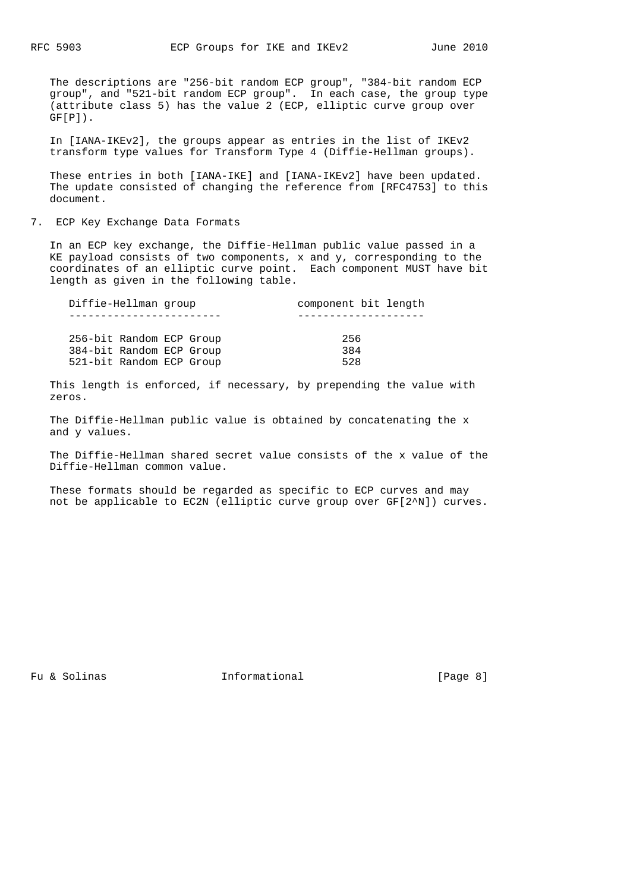The descriptions are "256-bit random ECP group", "384-bit random ECP group", and "521-bit random ECP group". In each case, the group type (attribute class 5) has the value 2 (ECP, elliptic curve group over  $GF[P]$ .

 In [IANA-IKEv2], the groups appear as entries in the list of IKEv2 transform type values for Transform Type 4 (Diffie-Hellman groups).

 These entries in both [IANA-IKE] and [IANA-IKEv2] have been updated. The update consisted of changing the reference from [RFC4753] to this document.

7. ECP Key Exchange Data Formats

 In an ECP key exchange, the Diffie-Hellman public value passed in a KE payload consists of two components, x and y, corresponding to the coordinates of an elliptic curve point. Each component MUST have bit length as given in the following table.

| Diffie-Hellman group     | component bit length |
|--------------------------|----------------------|
|                          |                      |
| 256-bit Random ECP Group | 256                  |
| 384-bit Random ECP Group | 384                  |
| 521-bit Random ECP Group | 528                  |

 This length is enforced, if necessary, by prepending the value with zeros.

 The Diffie-Hellman public value is obtained by concatenating the x and y values.

 The Diffie-Hellman shared secret value consists of the x value of the Diffie-Hellman common value.

 These formats should be regarded as specific to ECP curves and may not be applicable to EC2N (elliptic curve group over GF[2^N]) curves.

Fu & Solinas Theormational Theorman (Page 8)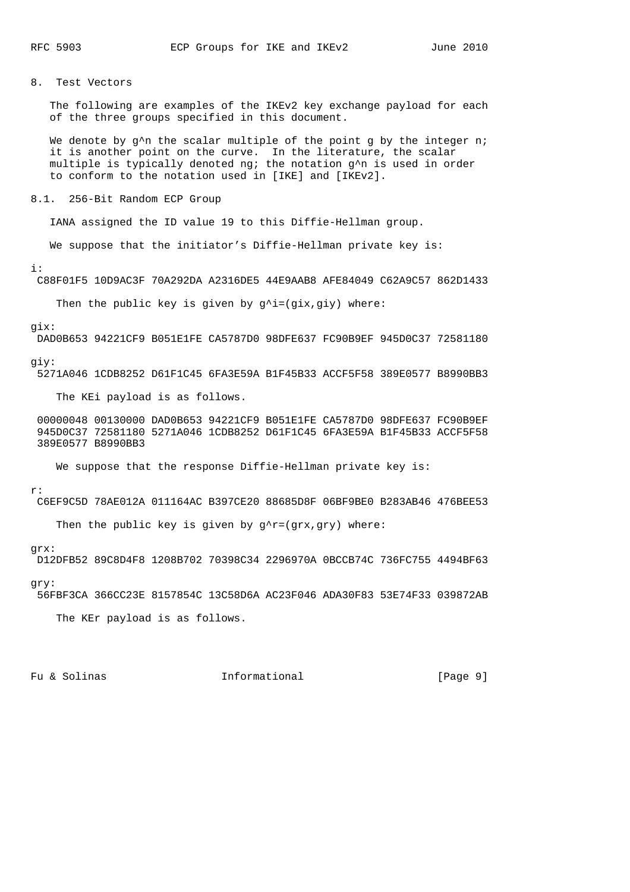# 8. Test Vectors

 The following are examples of the IKEv2 key exchange payload for each of the three groups specified in this document.

We denote by  $q^n$ n the scalar multiple of the point q by the integer n; it is another point on the curve. In the literature, the scalar multiple is typically denoted ng; the notation g^n is used in order to conform to the notation used in [IKE] and [IKEv2].

# 8.1. 256-Bit Random ECP Group

IANA assigned the ID value 19 to this Diffie-Hellman group.

We suppose that the initiator's Diffie-Hellman private key is:

i:

C88F01F5 10D9AC3F 70A292DA A2316DE5 44E9AAB8 AFE84049 C62A9C57 862D1433

Then the public key is given by  $g^i$ i=(gix,giy) where:

### gix:

DAD0B653 94221CF9 B051E1FE CA5787D0 98DFE637 FC90B9EF 945D0C37 72581180

### giy:

5271A046 1CDB8252 D61F1C45 6FA3E59A B1F45B33 ACCF5F58 389E0577 B8990BB3

The KEi payload is as follows.

 00000048 00130000 DAD0B653 94221CF9 B051E1FE CA5787D0 98DFE637 FC90B9EF 945D0C37 72581180 5271A046 1CDB8252 D61F1C45 6FA3E59A B1F45B33 ACCF5F58 389E0577 B8990BB3

We suppose that the response Diffie-Hellman private key is:

r:

C6EF9C5D 78AE012A 011164AC B397CE20 88685D8F 06BF9BE0 B283AB46 476BEE53

Then the public key is given by  $g^r = (grx, gry)$  where:

## grx:

D12DFB52 89C8D4F8 1208B702 70398C34 2296970A 0BCCB74C 736FC755 4494BF63

### gry:

56FBF3CA 366CC23E 8157854C 13C58D6A AC23F046 ADA30F83 53E74F33 039872AB

The KEr payload is as follows.

Fu & Solinas Thermational Theorem (Page 9)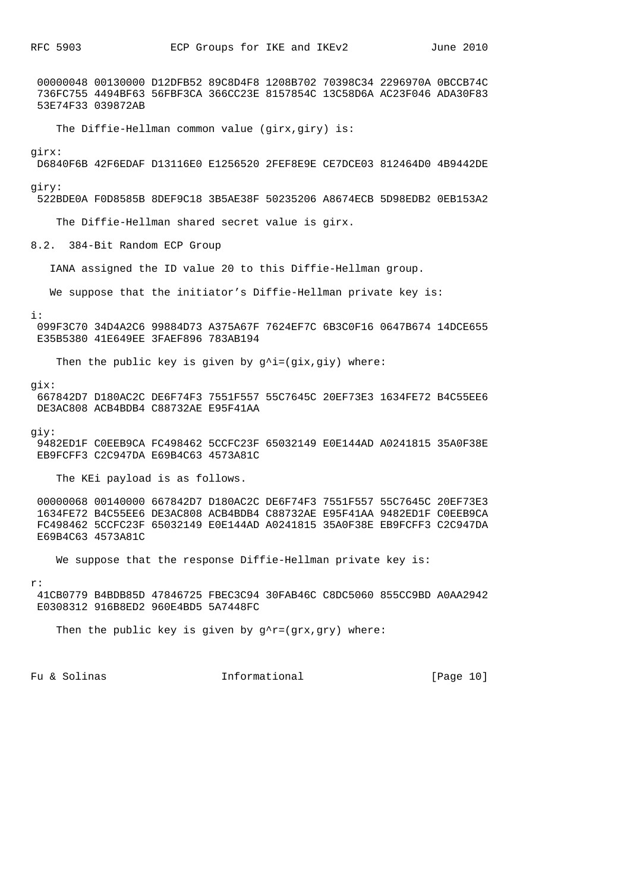00000048 00130000 D12DFB52 89C8D4F8 1208B702 70398C34 2296970A 0BCCB74C 736FC755 4494BF63 56FBF3CA 366CC23E 8157854C 13C58D6A AC23F046 ADA30F83 53E74F33 039872AB

The Diffie-Hellman common value (girx,giry) is:

### girx:

D6840F6B 42F6EDAF D13116E0 E1256520 2FEF8E9E CE7DCE03 812464D0 4B9442DE

giry:

522BDE0A F0D8585B 8DEF9C18 3B5AE38F 50235206 A8674ECB 5D98EDB2 0EB153A2

The Diffie-Hellman shared secret value is girx.

8.2. 384-Bit Random ECP Group

IANA assigned the ID value 20 to this Diffie-Hellman group.

We suppose that the initiator's Diffie-Hellman private key is:

#### i:

 099F3C70 34D4A2C6 99884D73 A375A67F 7624EF7C 6B3C0F16 0647B674 14DCE655 E35B5380 41E649EE 3FAEF896 783AB194

Then the public key is given by  $g^i$ i=(gix,giy) where:

### gix:

 667842D7 D180AC2C DE6F74F3 7551F557 55C7645C 20EF73E3 1634FE72 B4C55EE6 DE3AC808 ACB4BDB4 C88732AE E95F41AA

giy:

 9482ED1F C0EEB9CA FC498462 5CCFC23F 65032149 E0E144AD A0241815 35A0F38E EB9FCFF3 C2C947DA E69B4C63 4573A81C

The KEi payload is as follows.

 00000068 00140000 667842D7 D180AC2C DE6F74F3 7551F557 55C7645C 20EF73E3 1634FE72 B4C55EE6 DE3AC808 ACB4BDB4 C88732AE E95F41AA 9482ED1F C0EEB9CA FC498462 5CCFC23F 65032149 E0E144AD A0241815 35A0F38E EB9FCFF3 C2C947DA E69B4C63 4573A81C

We suppose that the response Diffie-Hellman private key is:

#### r:

 41CB0779 B4BDB85D 47846725 FBEC3C94 30FAB46C C8DC5060 855CC9BD A0AA2942 E0308312 916B8ED2 960E4BD5 5A7448FC

Then the public key is given by  $g^r = (grx, gry)$  where:

Fu & Solinas  $\qquad \qquad$  Informational  $\qquad \qquad$  [Page 10]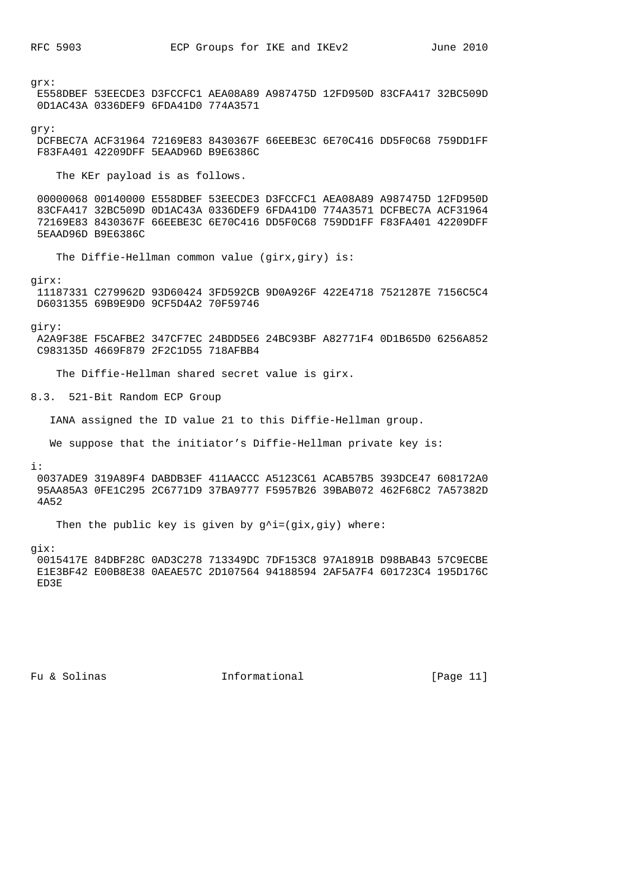grx:

 E558DBEF 53EECDE3 D3FCCFC1 AEA08A89 A987475D 12FD950D 83CFA417 32BC509D 0D1AC43A 0336DEF9 6FDA41D0 774A3571

## gry:

 DCFBEC7A ACF31964 72169E83 8430367F 66EEBE3C 6E70C416 DD5F0C68 759DD1FF F83FA401 42209DFF 5EAAD96D B9E6386C

The KEr payload is as follows.

 00000068 00140000 E558DBEF 53EECDE3 D3FCCFC1 AEA08A89 A987475D 12FD950D 83CFA417 32BC509D 0D1AC43A 0336DEF9 6FDA41D0 774A3571 DCFBEC7A ACF31964 72169E83 8430367F 66EEBE3C 6E70C416 DD5F0C68 759DD1FF F83FA401 42209DFF 5EAAD96D B9E6386C

The Diffie-Hellman common value (girx,giry) is:

#### girx:

 11187331 C279962D 93D60424 3FD592CB 9D0A926F 422E4718 7521287E 7156C5C4 D6031355 69B9E9D0 9CF5D4A2 70F59746

giry:

 A2A9F38E F5CAFBE2 347CF7EC 24BDD5E6 24BC93BF A82771F4 0D1B65D0 6256A852 C983135D 4669F879 2F2C1D55 718AFBB4

The Diffie-Hellman shared secret value is girx.

8.3. 521-Bit Random ECP Group

IANA assigned the ID value 21 to this Diffie-Hellman group.

We suppose that the initiator's Diffie-Hellman private key is:

i:

 0037ADE9 319A89F4 DABDB3EF 411AACCC A5123C61 ACAB57B5 393DCE47 608172A0 95AA85A3 0FE1C295 2C6771D9 37BA9777 F5957B26 39BAB072 462F68C2 7A57382D 4A52

Then the public key is given by  $g^i$ i=(gix,giy) where:

gix:

 0015417E 84DBF28C 0AD3C278 713349DC 7DF153C8 97A1891B D98BAB43 57C9ECBE E1E3BF42 E00B8E38 0AEAE57C 2D107564 94188594 2AF5A7F4 601723C4 195D176C ED3E

Fu & Solinas Thermational Fu & Solinas (Page 11)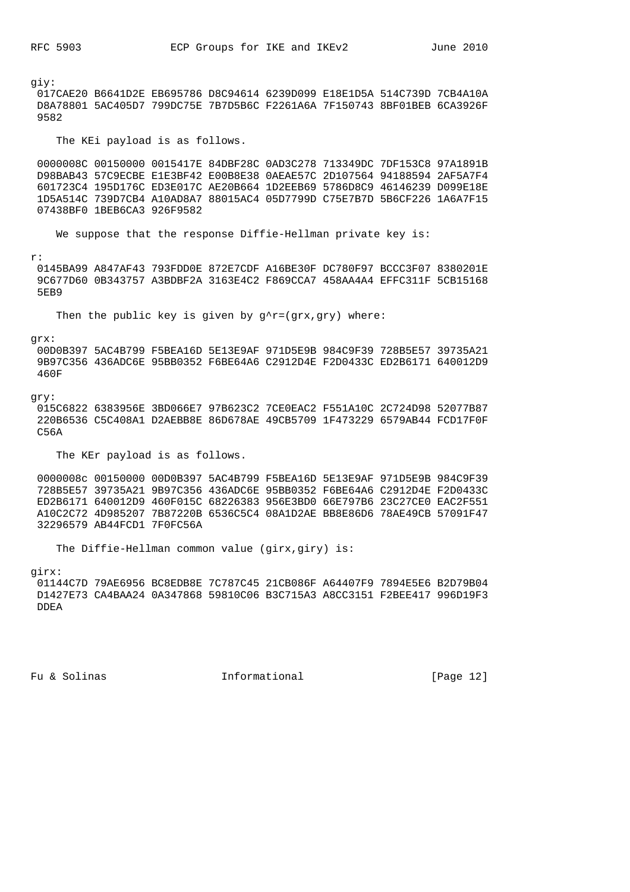giy: 017CAE20 B6641D2E EB695786 D8C94614 6239D099 E18E1D5A 514C739D 7CB4A10A D8A78801 5AC405D7 799DC75E 7B7D5B6C F2261A6A 7F150743 8BF01BEB 6CA3926F 9582

The KEi payload is as follows.

 0000008C 00150000 0015417E 84DBF28C 0AD3C278 713349DC 7DF153C8 97A1891B D98BAB43 57C9ECBE E1E3BF42 E00B8E38 0AEAE57C 2D107564 94188594 2AF5A7F4 601723C4 195D176C ED3E017C AE20B664 1D2EEB69 5786D8C9 46146239 D099E18E 1D5A514C 739D7CB4 A10AD8A7 88015AC4 05D7799D C75E7B7D 5B6CF226 1A6A7F15 07438BF0 1BEB6CA3 926F9582

We suppose that the response Diffie-Hellman private key is:

r:

 0145BA99 A847AF43 793FDD0E 872E7CDF A16BE30F DC780F97 BCCC3F07 8380201E 9C677D60 0B343757 A3BDBF2A 3163E4C2 F869CCA7 458AA4A4 EFFC311F 5CB15168 5EB9

Then the public key is given by  $q^r = (qrx, qry)$  where:

grx:

 00D0B397 5AC4B799 F5BEA16D 5E13E9AF 971D5E9B 984C9F39 728B5E57 39735A21 9B97C356 436ADC6E 95BB0352 F6BE64A6 C2912D4E F2D0433C ED2B6171 640012D9 460F

gry:

 015C6822 6383956E 3BD066E7 97B623C2 7CE0EAC2 F551A10C 2C724D98 52077B87 220B6536 C5C408A1 D2AEBB8E 86D678AE 49CB5709 1F473229 6579AB44 FCD17F0F C56A

The KEr payload is as follows.

 0000008c 00150000 00D0B397 5AC4B799 F5BEA16D 5E13E9AF 971D5E9B 984C9F39 728B5E57 39735A21 9B97C356 436ADC6E 95BB0352 F6BE64A6 C2912D4E F2D0433C ED2B6171 640012D9 460F015C 68226383 956E3BD0 66E797B6 23C27CE0 EAC2F551 A10C2C72 4D985207 7B87220B 6536C5C4 08A1D2AE BB8E86D6 78AE49CB 57091F47 32296579 AB44FCD1 7F0FC56A

The Diffie-Hellman common value (girx,giry) is:

girx:

 01144C7D 79AE6956 BC8EDB8E 7C787C45 21CB086F A64407F9 7894E5E6 B2D79B04 D1427E73 CA4BAA24 0A347868 59810C06 B3C715A3 A8CC3151 F2BEE417 996D19F3 DDEA

Fu & Solinas  $\qquad \qquad$  Informational  $\qquad \qquad$  [Page 12]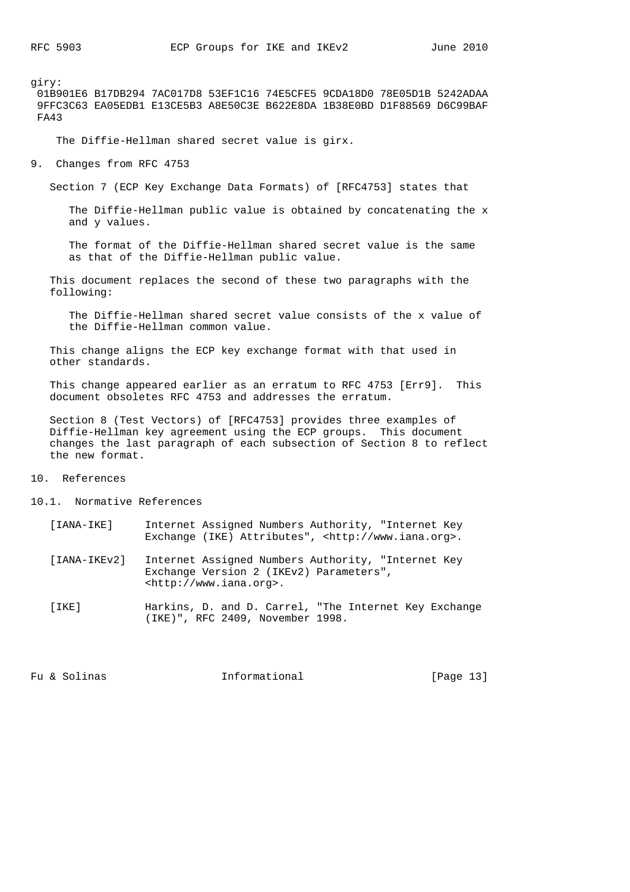giry: 01B901E6 B17DB294 7AC017D8 53EF1C16 74E5CFE5 9CDA18D0 78E05D1B 5242ADAA 9FFC3C63 EA05EDB1 E13CE5B3 A8E50C3E B622E8DA 1B38E0BD D1F88569 D6C99BAF FA43

The Diffie-Hellman shared secret value is girx.

9. Changes from RFC 4753

Section 7 (ECP Key Exchange Data Formats) of [RFC4753] states that

 The Diffie-Hellman public value is obtained by concatenating the x and y values.

 The format of the Diffie-Hellman shared secret value is the same as that of the Diffie-Hellman public value.

 This document replaces the second of these two paragraphs with the following:

 The Diffie-Hellman shared secret value consists of the x value of the Diffie-Hellman common value.

 This change aligns the ECP key exchange format with that used in other standards.

 This change appeared earlier as an erratum to RFC 4753 [Err9]. This document obsoletes RFC 4753 and addresses the erratum.

 Section 8 (Test Vectors) of [RFC4753] provides three examples of Diffie-Hellman key agreement using the ECP groups. This document changes the last paragraph of each subsection of Section 8 to reflect the new format.

10. References

10.1. Normative References

| [IANA-IKE]    | Internet Assigned Numbers Authority, "Internet Key<br>Exchange (IKE) Attributes", <http: www.iana.org="">.</http:>                |
|---------------|-----------------------------------------------------------------------------------------------------------------------------------|
| $[IMA-IKEY2]$ | Internet Assigned Numbers Authority, "Internet Key<br>Exchange Version 2 (IKEv2) Parameters",<br><http: www.iana.org="">.</http:> |
| [IKE]         | Harkins, D. and D. Carrel, "The Internet Key Exchange<br>(IKE)", RFC 2409, November 1998.                                         |

Fu & Solinas Theormational Fu & Solinas (Page 13)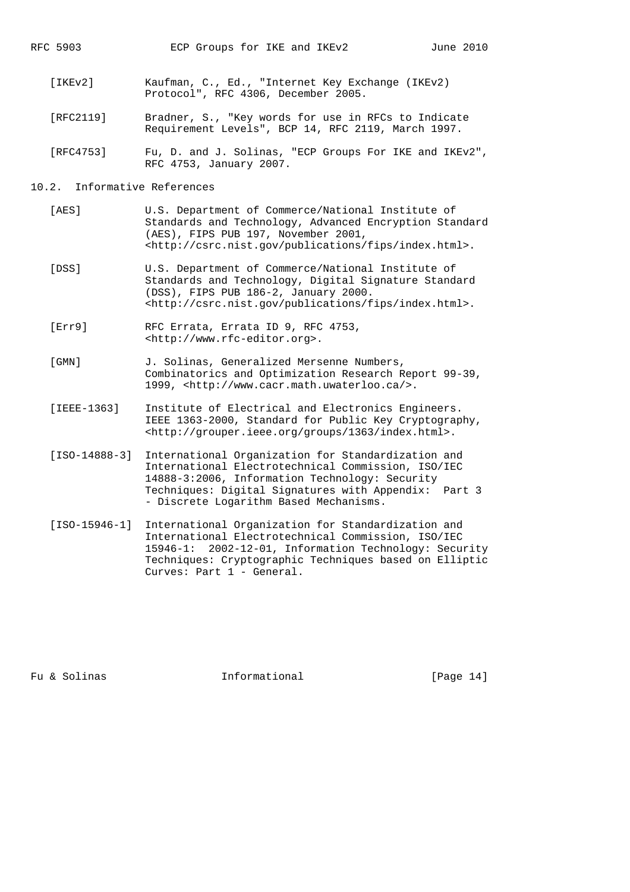- [IKEv2] Kaufman, C., Ed., "Internet Key Exchange (IKEv2) Protocol", RFC 4306, December 2005.
- [RFC2119] Bradner, S., "Key words for use in RFCs to Indicate Requirement Levels", BCP 14, RFC 2119, March 1997.
- [RFC4753] Fu, D. and J. Solinas, "ECP Groups For IKE and IKEv2", RFC 4753, January 2007.

# 10.2. Informative References

- [AES] U.S. Department of Commerce/National Institute of Standards and Technology, Advanced Encryption Standard (AES), FIPS PUB 197, November 2001, <http://csrc.nist.gov/publications/fips/index.html>.
- [DSS] U.S. Department of Commerce/National Institute of Standards and Technology, Digital Signature Standard (DSS), FIPS PUB 186-2, January 2000. <http://csrc.nist.gov/publications/fips/index.html>.
- [Err9] RFC Errata, Errata ID 9, RFC 4753, <http://www.rfc-editor.org>.
- [GMN] J. Solinas, Generalized Mersenne Numbers, Combinatorics and Optimization Research Report 99-39, 1999, <http://www.cacr.math.uwaterloo.ca/>.
- [IEEE-1363] Institute of Electrical and Electronics Engineers. IEEE 1363-2000, Standard for Public Key Cryptography, <http://grouper.ieee.org/groups/1363/index.html>.
- [ISO-14888-3] International Organization for Standardization and International Electrotechnical Commission, ISO/IEC 14888-3:2006, Information Technology: Security Techniques: Digital Signatures with Appendix: Part 3 - Discrete Logarithm Based Mechanisms.
- [ISO-15946-1] International Organization for Standardization and International Electrotechnical Commission, ISO/IEC 15946-1: 2002-12-01, Information Technology: Security Techniques: Cryptographic Techniques based on Elliptic Curves: Part 1 - General.

Fu & Solinas Thermational Fu & Solinas (Page 14)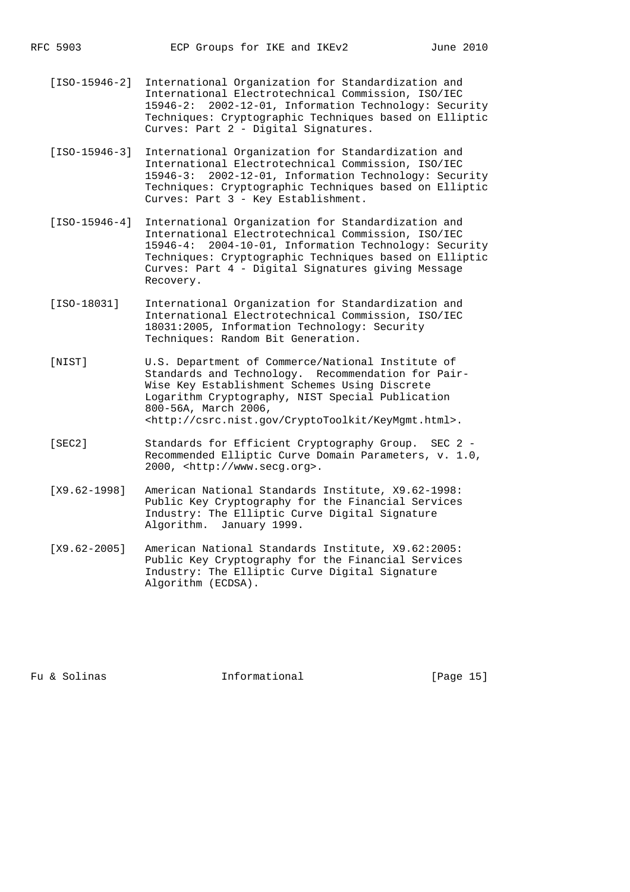- [ISO-15946-2] International Organization for Standardization and International Electrotechnical Commission, ISO/IEC 15946-2: 2002-12-01, Information Technology: Security Techniques: Cryptographic Techniques based on Elliptic Curves: Part 2 - Digital Signatures.
- [ISO-15946-3] International Organization for Standardization and International Electrotechnical Commission, ISO/IEC 15946-3: 2002-12-01, Information Technology: Security Techniques: Cryptographic Techniques based on Elliptic Curves: Part 3 - Key Establishment.
- [ISO-15946-4] International Organization for Standardization and International Electrotechnical Commission, ISO/IEC 15946-4: 2004-10-01, Information Technology: Security Techniques: Cryptographic Techniques based on Elliptic Curves: Part 4 - Digital Signatures giving Message Recovery.
- [ISO-18031] International Organization for Standardization and International Electrotechnical Commission, ISO/IEC 18031:2005, Information Technology: Security Techniques: Random Bit Generation.
- [NIST] U.S. Department of Commerce/National Institute of Standards and Technology. Recommendation for Pair- Wise Key Establishment Schemes Using Discrete Logarithm Cryptography, NIST Special Publication 800-56A, March 2006, <http://csrc.nist.gov/CryptoToolkit/KeyMgmt.html>.
- [SEC2] Standards for Efficient Cryptography Group. SEC 2 Recommended Elliptic Curve Domain Parameters, v. 1.0, 2000, <http://www.secg.org>.
- [X9.62-1998] American National Standards Institute, X9.62-1998: Public Key Cryptography for the Financial Services Industry: The Elliptic Curve Digital Signature Algorithm. January 1999.
- [X9.62-2005] American National Standards Institute, X9.62:2005: Public Key Cryptography for the Financial Services Industry: The Elliptic Curve Digital Signature Algorithm (ECDSA).

Fu & Solinas Thermational Fu & Solinas (Page 15)